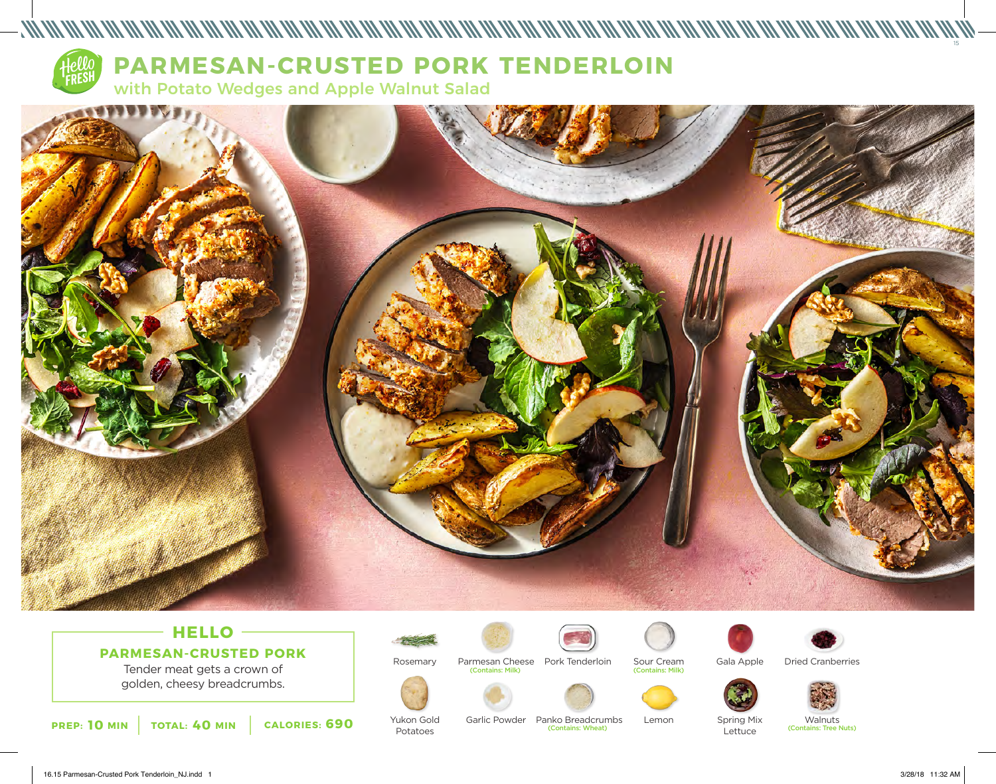

**PARMESAN-CRUSTED PORK TENDERLOIN** 

with Potato Wedges and Apple Walnut Salad



## **HELLO PARMESAN-CRUSTED PORK**

Tender meat gets a crown of golden, cheesy breadcrumbs.

**PREP: 10** MIN **TOTAL: 40 MIN CALORIES: 690** YUKON GOID GATIC POWDER PANKO BreadCrumbs Lemon Spring Mix Walnuts (Contains: Tree Nuts)



Rosemary



Garlic Powder Panko Breadcrumbs Lemon

(Contains: Wheat)

(Contains: Milk) Parmesan Cheese Pork Tenderloin



Yukon Gold Potatoes





Sour Cream

(Contains: Milk)

Gala Apple Dried Cranberries



Lettuce

Spring Mix

Walnuts<br>(Contains: Tree Nuts)